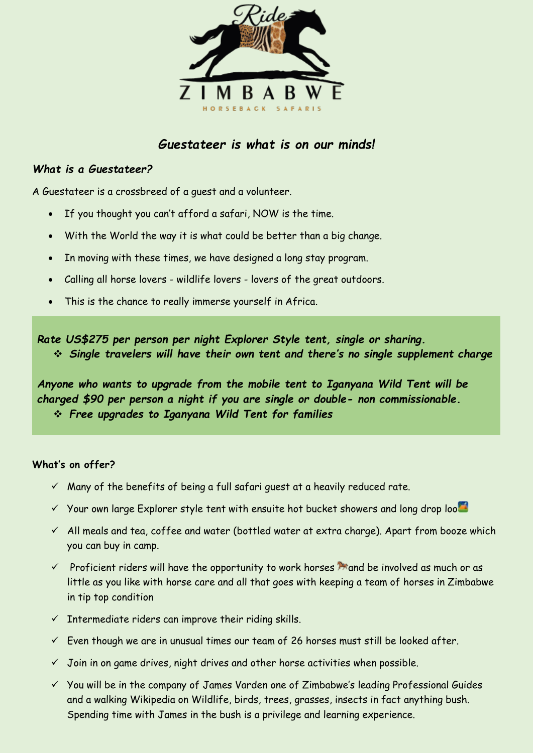

# *Guestateer is what is on our minds!*

#### *What is a Guestateer?*

A Guestateer is a crossbreed of a guest and a volunteer.

- If you thought you can't afford a safari, NOW is the time.
- With the World the way it is what could be better than a big change.
- In moving with these times, we have designed a long stay program.
- Calling all horse lovers wildlife lovers lovers of the great outdoors.
- This is the chance to really immerse yourself in Africa.

*Rate US\$275 per person per night Explorer Style tent, single or sharing.* ❖ *Single travelers will have their own tent and there's no single supplement charge*

*Anyone who wants to upgrade from the mobile tent to Iganyana Wild Tent will be charged \$90 per person a night if you are single or double- non commissionable.* ❖ *Free upgrades to Iganyana Wild Tent for families*

#### **What's on offer?**

- $\checkmark$  Many of the benefits of being a full safari quest at a heavily reduced rate.
- $\checkmark$  Your own large Explorer style tent with ensuite hot bucket showers and long drop loo $\bullet$
- $\checkmark$  All meals and tea, coffee and water (bottled water at extra charge). Apart from booze which you can buy in camp.
- $\checkmark$  Proficient riders will have the opportunity to work horses  $\hat{P}$  and be involved as much or as little as you like with horse care and all that goes with keeping a team of horses in Zimbabwe in tip top condition
- $\checkmark$  Intermediate riders can improve their riding skills.
- $\checkmark$  Even though we are in unusual times our team of 26 horses must still be looked after.
- $\checkmark$  Join in on game drives, night drives and other horse activities when possible.
- ✓ You will be in the company of James Varden one of Zimbabwe's leading Professional Guides and a walking Wikipedia on Wildlife, birds, trees, grasses, insects in fact anything bush. Spending time with James in the bush is a privilege and learning experience.